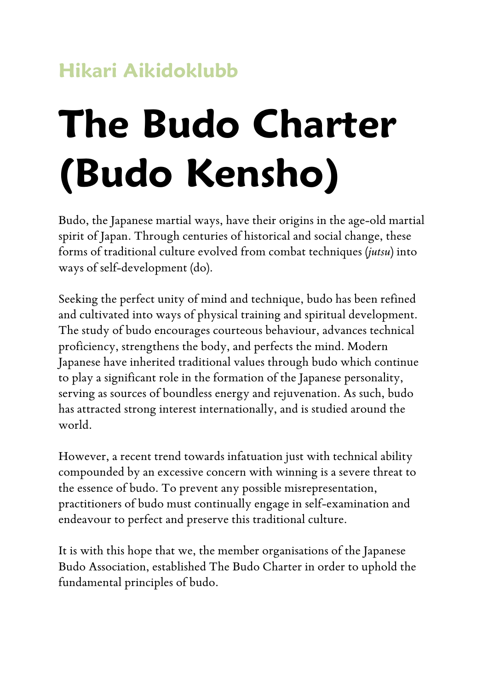# **Hikari Aikidoklubb**

# **The Budo Charter (Budo Kensho)**

Budo, the Japanese martial ways, have their origins in the age-old martial spirit of Japan. Through centuries of historical and social change, these forms of traditional culture evolved from combat techniques (*jutsu*) into ways of self-development (do).

Seeking the perfect unity of mind and technique, budo has been refined and cultivated into ways of physical training and spiritual development. The study of budo encourages courteous behaviour, advances technical proficiency, strengthens the body, and perfects the mind. Modern Japanese have inherited traditional values through budo which continue to play a significant role in the formation of the Japanese personality, serving as sources of boundless energy and rejuvenation. As such, budo has attracted strong interest internationally, and is studied around the world.

However, a recent trend towards infatuation just with technical ability compounded by an excessive concern with winning is a severe threat to the essence of budo. To prevent any possible misrepresentation, practitioners of budo must continually engage in self-examination and endeavour to perfect and preserve this traditional culture.

It is with this hope that we, the member organisations of the Japanese Budo Association, established The Budo Charter in order to uphold the fundamental principles of budo.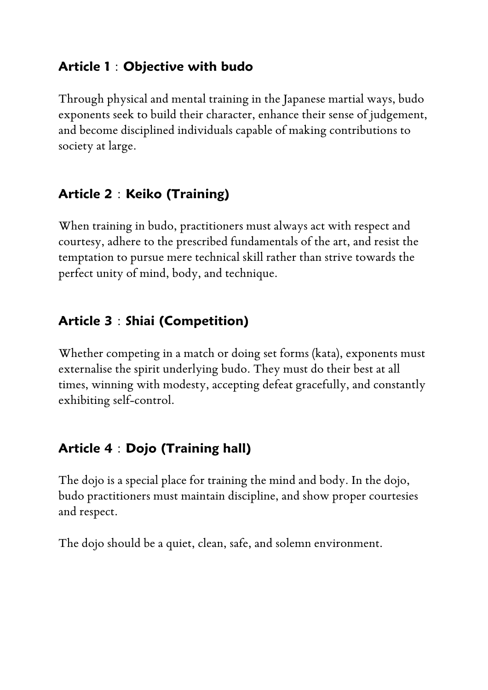#### **Article 1**:**Objective with budo**

Through physical and mental training in the Japanese martial ways, budo exponents seek to build their character, enhance their sense of judgement, and become disciplined individuals capable of making contributions to society at large.

## **Article 2**:**Keiko (Training)**

When training in budo, practitioners must always act with respect and courtesy, adhere to the prescribed fundamentals of the art, and resist the temptation to pursue mere technical skill rather than strive towards the perfect unity of mind, body, and technique.

## **Article 3**:**Shiai (Competition)**

Whether competing in a match or doing set forms (kata), exponents must externalise the spirit underlying budo. They must do their best at all times, winning with modesty, accepting defeat gracefully, and constantly exhibiting self-control.

# **Article 4**:**Dojo (Training hall)**

The dojo is a special place for training the mind and body. In the dojo, budo practitioners must maintain discipline, and show proper courtesies and respect.

The dojo should be a quiet, clean, safe, and solemn environment.